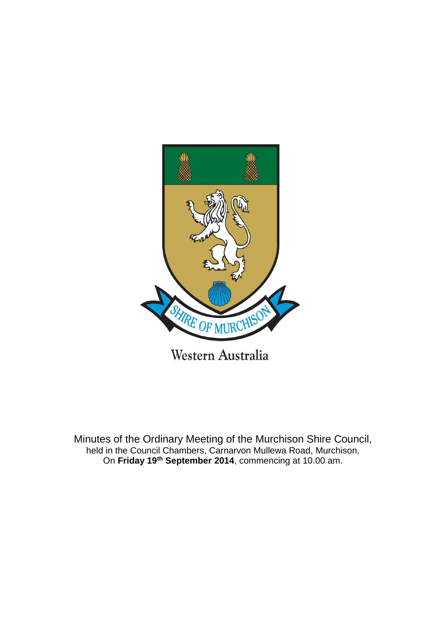

Minutes of the Ordinary Meeting of the Murchison Shire Council, held in the Council Chambers, Carnarvon Mullewa Road, Murchison, On **Friday 19th September 2014**, commencing at 10.00 am.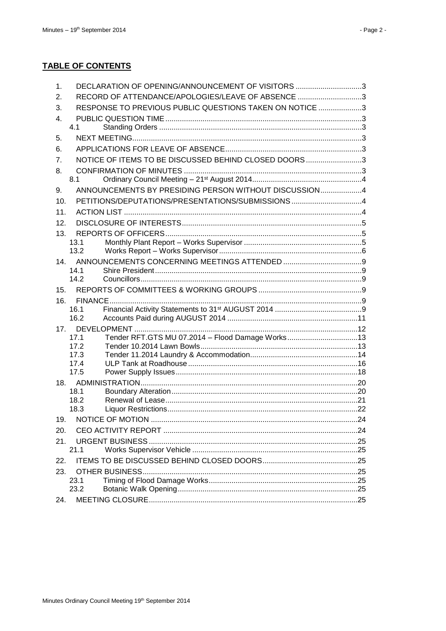| 1.  | DECLARATION OF OPENING/ANNOUNCEMENT OF VISITORS 3        |  |
|-----|----------------------------------------------------------|--|
| 2.  | RECORD OF ATTENDANCE/APOLOGIES/LEAVE OF ABSENCE 3        |  |
| 3.  | RESPONSE TO PREVIOUS PUBLIC QUESTIONS TAKEN ON NOTICE 3  |  |
| 4.  |                                                          |  |
|     | 4.1                                                      |  |
| 5.  |                                                          |  |
| 6.  |                                                          |  |
| 7.  | NOTICE OF ITEMS TO BE DISCUSSED BEHIND CLOSED DOORS3     |  |
| 8.  |                                                          |  |
|     | 8.1                                                      |  |
| 9.  | ANNOUNCEMENTS BY PRESIDING PERSON WITHOUT DISCUSSION4    |  |
| 10. | PETITIONS/DEPUTATIONS/PRESENTATIONS/SUBMISSIONS 4        |  |
| 11. |                                                          |  |
| 12. |                                                          |  |
| 13. |                                                          |  |
|     | 13.1                                                     |  |
|     | 13.2                                                     |  |
| 14. | 14.1                                                     |  |
|     | 14.2                                                     |  |
| 15. |                                                          |  |
| 16. |                                                          |  |
|     | 16.1                                                     |  |
|     | 16.2                                                     |  |
|     |                                                          |  |
|     | Tender RFT.GTS MU 07.2014 - Flood Damage Works13<br>17.1 |  |
|     | 17.2<br>17.3                                             |  |
|     | 17.4                                                     |  |
|     | 17.5                                                     |  |
|     |                                                          |  |
|     | 18.1                                                     |  |
|     | 18.2                                                     |  |
|     | 18.3                                                     |  |
|     |                                                          |  |
| 20. |                                                          |  |
| 21. | 21.1                                                     |  |
|     |                                                          |  |
| 22. |                                                          |  |
| 23. | 23.1                                                     |  |
|     | 23.2                                                     |  |
| 24. |                                                          |  |
|     |                                                          |  |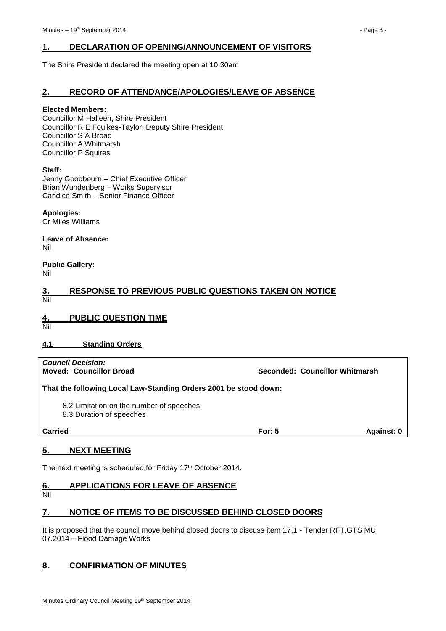# <span id="page-2-0"></span>**1. DECLARATION OF OPENING/ANNOUNCEMENT OF VISITORS**

The Shire President declared the meeting open at 10.30am

#### <span id="page-2-1"></span>**2. RECORD OF ATTENDANCE/APOLOGIES/LEAVE OF ABSENCE**

#### **Elected Members:**

Councillor M Halleen, Shire President Councillor R E Foulkes-Taylor, Deputy Shire President Councillor S A Broad Councillor A Whitmarsh Councillor P Squires

#### **Staff:**

Jenny Goodbourn – Chief Executive Officer Brian Wundenberg – Works Supervisor Candice Smith – Senior Finance Officer

**Apologies:** Cr Miles Williams

**Leave of Absence:** Nil

**Public Gallery:** Nil

## <span id="page-2-2"></span>**3. RESPONSE TO PREVIOUS PUBLIC QUESTIONS TAKEN ON NOTICE** Nil

## <span id="page-2-3"></span>**4. PUBLIC QUESTION TIME**

Nil

#### <span id="page-2-4"></span>**4.1 Standing Orders**

# *Council Decision:*

**Moved: Councillor Broad Seconded: Councillor Whitmarsh**

**That the following Local Law-Standing Orders 2001 be stood down:**

- 8.2 Limitation on the number of speeches
- 8.3 Duration of speeches

**Carried For: 5 Against: 0**

## <span id="page-2-5"></span>**5. NEXT MEETING**

The next meeting is scheduled for Friday 17<sup>th</sup> October 2014.

## <span id="page-2-6"></span>**6. APPLICATIONS FOR LEAVE OF ABSENCE**

## <span id="page-2-7"></span>**7. NOTICE OF ITEMS TO BE DISCUSSED BEHIND CLOSED DOORS**

It is proposed that the council move behind closed doors to discuss item 17.1 - Tender RFT.GTS MU 07.2014 – Flood Damage Works

## <span id="page-2-8"></span>**8. CONFIRMATION OF MINUTES**

Nil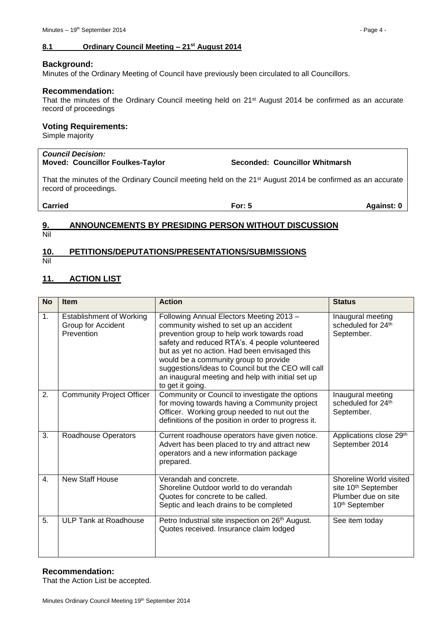#### <span id="page-3-0"></span>**Background:**

Minutes of the Ordinary Meeting of Council have previously been circulated to all Councillors.

#### **Recommendation:**

That the minutes of the Ordinary Council meeting held on 21<sup>st</sup> August 2014 be confirmed as an accurate record of proceedings

#### **Voting Requirements:**

Simple majority

#### *Council Decision:* **Moved: Councillor Foulkes-Taylor Seconded: Councillor Whitmarsh**

That the minutes of the Ordinary Council meeting held on the 21<sup>st</sup> August 2014 be confirmed as an accurate record of proceedings.

# **Carried For: 5 Against: 0**

# <span id="page-3-1"></span>**9. ANNOUNCEMENTS BY PRESIDING PERSON WITHOUT DISCUSSION**

Nil

## <span id="page-3-2"></span>**10. PETITIONS/DEPUTATIONS/PRESENTATIONS/SUBMISSIONS**

Nil

# <span id="page-3-3"></span>**11. ACTION LIST**

| <b>No</b> | <b>Item</b>                                                         | <b>Action</b>                                                                                                                                                                                                                                                                                                                                                                                               | <b>Status</b>                                                                                                   |
|-----------|---------------------------------------------------------------------|-------------------------------------------------------------------------------------------------------------------------------------------------------------------------------------------------------------------------------------------------------------------------------------------------------------------------------------------------------------------------------------------------------------|-----------------------------------------------------------------------------------------------------------------|
| 1.        | <b>Establishment of Working</b><br>Group for Accident<br>Prevention | Following Annual Electors Meeting 2013 -<br>community wished to set up an accident<br>prevention group to help work towards road<br>safety and reduced RTA's. 4 people volunteered<br>but as yet no action. Had been envisaged this<br>would be a community group to provide<br>suggestions/ideas to Council but the CEO will call<br>an inaugural meeting and help with initial set up<br>to get it going. | Inaugural meeting<br>scheduled for 24th<br>September.                                                           |
| 2.        | <b>Community Project Officer</b>                                    | Community or Council to investigate the options<br>for moving towards having a Community project<br>Officer. Working group needed to nut out the<br>definitions of the position in order to progress it.                                                                                                                                                                                                    | Inaugural meeting<br>scheduled for 24th<br>September.                                                           |
| 3.        | <b>Roadhouse Operators</b>                                          | Current roadhouse operators have given notice.<br>Advert has been placed to try and attract new<br>operators and a new information package<br>prepared.                                                                                                                                                                                                                                                     | Applications close 29th<br>September 2014                                                                       |
| 4.        | <b>New Staff House</b>                                              | Verandah and concrete.<br>Shoreline Outdoor world to do verandah<br>Quotes for concrete to be called.<br>Septic and leach drains to be completed                                                                                                                                                                                                                                                            | Shoreline World visited<br>site 10 <sup>th</sup> September<br>Plumber due on site<br>10 <sup>th</sup> September |
| 5.        | <b>ULP Tank at Roadhouse</b>                                        | Petro Industrial site inspection on 26 <sup>th</sup> August.<br>Quotes received. Insurance claim lodged                                                                                                                                                                                                                                                                                                     | See item today                                                                                                  |

#### **Recommendation:**

That the Action List be accepted.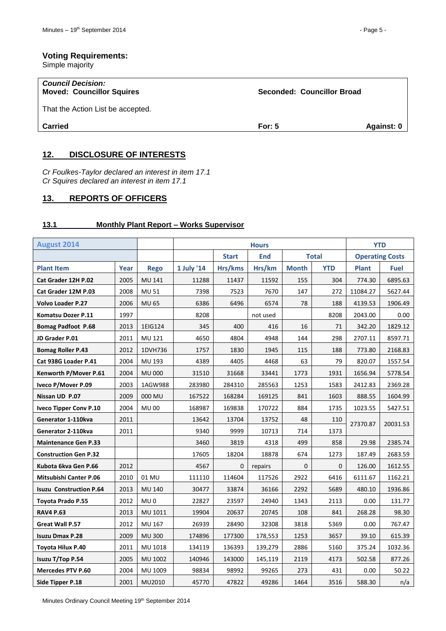Simple majority

| <b>Council Decision:</b><br><b>Moved: Councillor Squires</b> | Seconded: Councillor Broad |            |
|--------------------------------------------------------------|----------------------------|------------|
| That the Action List be accepted.                            |                            |            |
| <b>Carried</b>                                               | For: $5$                   | Against: 0 |
|                                                              |                            |            |

# <span id="page-4-0"></span>**12. DISCLOSURE OF INTERESTS**

*Cr Foulkes-Taylor declared an interest in item 17.1 Cr Squires declared an interest in item 17.1*

#### <span id="page-4-1"></span>**13. REPORTS OF OFFICERS**

# <span id="page-4-2"></span>**13.1 Monthly Plant Report – Works Supervisor**

| August 2014                    |             |                 | <b>Hours</b>                               |              |          |              |                        | <b>YTD</b>   |             |
|--------------------------------|-------------|-----------------|--------------------------------------------|--------------|----------|--------------|------------------------|--------------|-------------|
|                                |             |                 | <b>End</b><br><b>Total</b><br><b>Start</b> |              |          |              | <b>Operating Costs</b> |              |             |
| <b>Plant Item</b>              | <b>Year</b> | <b>Rego</b>     | 1 July '14                                 | Hrs/kms      | Hrs/km   | <b>Month</b> | <b>YTD</b>             | <b>Plant</b> | <b>Fuel</b> |
| Cat Grader 12H P.02            | 2005        | MU 141          | 11288                                      | 11437        | 11592    | 155          | 304                    | 774.30       | 6895.63     |
| Cat Grader 12M P.03            | 2008        | <b>MU 51</b>    | 7398                                       | 7523         | 7670     | 147          | 272                    | 11084.27     | 5627.44     |
| <b>Volvo Loader P.27</b>       | 2006        | <b>MU 65</b>    | 6386                                       | 6496         | 6574     | 78           | 188                    | 4139.53      | 1906.49     |
| Komatsu Dozer P.11             | 1997        |                 | 8208                                       |              | not used |              | 8208                   | 2043.00      | 0.00        |
| <b>Bomag Padfoot P.68</b>      | 2013        | 1EIG124         | 345                                        | 400          | 416      | 16           | 71                     | 342.20       | 1829.12     |
| JD Grader P.01                 | 2011        | MU 121          | 4650                                       | 4804         | 4948     | 144          | 298                    | 2707.11      | 8597.71     |
| <b>Bomag Roller P.43</b>       | 2012        | 1DVH736         | 1757                                       | 1830         | 1945     | 115          | 188                    | 773.80       | 2168.83     |
| Cat 938G Loader P.41           | 2004        | MU 193          | 4389                                       | 4405         | 4468     | 63           | 79                     | 820.07       | 1557.54     |
| Kenworth P/Mover P.61          | 2004        | <b>MU 000</b>   | 31510                                      | 31668        | 33441    | 1773         | 1931                   | 1656.94      | 5778.54     |
| Iveco P/Mover P.09             | 2003        | 1AGW988         | 283980                                     | 284310       | 285563   | 1253         | 1583                   | 2412.83      | 2369.28     |
| Nissan UD P.07                 | 2009        | 000 MU          | 167522                                     | 168284       | 169125   | 841          | 1603                   | 888.55       | 1604.99     |
| Iveco Tipper Conv P.10         | 2004        | <b>MU00</b>     | 168987                                     | 169838       | 170722   | 884          | 1735                   | 1023.55      | 5427.51     |
| Generator 1-110kva             | 2011        |                 | 13642                                      | 13704        | 13752    | 48           | 110                    | 27370.87     | 20031.53    |
| Generator 2-110kva             | 2011        |                 | 9340                                       | 9999         | 10713    | 714          | 1373                   |              |             |
| <b>Maintenance Gen P.33</b>    |             |                 | 3460                                       | 3819         | 4318     | 499          | 858                    | 29.98        | 2385.74     |
| <b>Construction Gen P.32</b>   |             |                 | 17605                                      | 18204        | 18878    | 674          | 1273                   | 187.49       | 2683.59     |
| Kubota 6kva Gen P.66           | 2012        |                 | 4567                                       | $\mathbf{0}$ | repairs  | $\Omega$     | $\Omega$               | 126.00       | 1612.55     |
| <b>Mitsubishi Canter P.06</b>  | 2010        | 01 MU           | 111110                                     | 114604       | 117526   | 2922         | 6416                   | 6111.67      | 1162.21     |
| <b>Isuzu Construction P.64</b> | 2013        | MU 140          | 30477                                      | 33874        | 36166    | 2292         | 5689                   | 480.10       | 1936.86     |
| Toyota Prado P.55              | 2012        | MU <sub>0</sub> | 22827                                      | 23597        | 24940    | 1343         | 2113                   | 0.00         | 131.77      |
| <b>RAV4 P.63</b>               | 2013        | MU 1011         | 19904                                      | 20637        | 20745    | 108          | 841                    | 268.28       | 98.30       |
| Great Wall P.57                | 2012        | MU 167          | 26939                                      | 28490        | 32308    | 3818         | 5369                   | 0.00         | 767.47      |
| <b>Isuzu Dmax P.28</b>         | 2009        | <b>MU300</b>    | 174896                                     | 177300       | 178,553  | 1253         | 3657                   | 39.10        | 615.39      |
| Toyota Hilux P.40              | 2011        | MU 1018         | 134119                                     | 136393       | 139,279  | 2886         | 5160                   | 375.24       | 1032.36     |
| Isuzu T/Top P.54               | 2005        | MU 1002         | 140946                                     | 143000       | 145,119  | 2119         | 4173                   | 502.58       | 877.26      |
| Mercedes PTV P.60              | 2004        | MU 1009         | 98834                                      | 98992        | 99265    | 273          | 431                    | 0.00         | 50.22       |
| Side Tipper P.18               | 2001        | MU2010          | 45770                                      | 47822        | 49286    | 1464         | 3516                   | 588.30       | n/a         |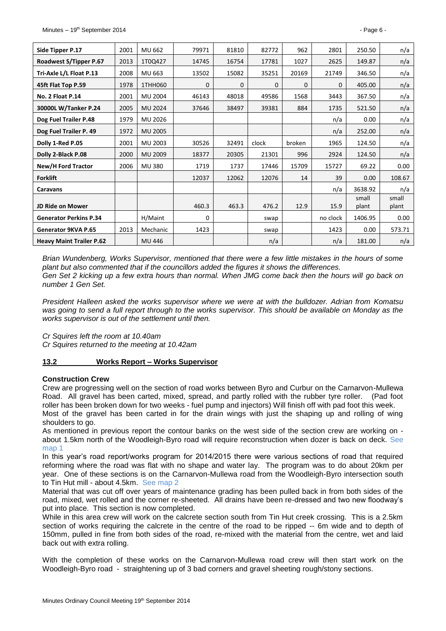| Side Tipper P.17                | 2001 | MU 662         | 79971 | 81810        | 82772        | 962    | 2801     | 250.50         | n/a            |
|---------------------------------|------|----------------|-------|--------------|--------------|--------|----------|----------------|----------------|
| Roadwest S/Tipper P.67          | 2013 | 1T0Q427        | 14745 | 16754        | 17781        | 1027   | 2625     | 149.87         | n/a            |
| Tri-Axle L/L Float P.13         | 2008 | MU 663         | 13502 | 15082        | 35251        | 20169  | 21749    | 346.50         | n/a            |
| 45ft Flat Top P.59              | 1978 | 1THH060        | 0     | $\mathbf{0}$ | $\mathbf{0}$ | 0      | 0        | 405.00         | n/a            |
| No. 2 Float P.14                | 2001 | <b>MU 2004</b> | 46143 | 48018        | 49586        | 1568   | 3443     | 367.50         | n/a            |
| 30000L W/Tanker P.24            | 2005 | <b>MU 2024</b> | 37646 | 38497        | 39381        | 884    | 1735     | 521.50         | n/a            |
| Dog Fuel Trailer P.48           | 1979 | MU 2026        |       |              |              |        | n/a      | 0.00           | n/a            |
| Dog Fuel Trailer P. 49          | 1972 | <b>MU 2005</b> |       |              |              |        | n/a      | 252.00         | n/a            |
| Dolly 1-Red P.05                | 2001 | MU 2003        | 30526 | 32491        | clock        | broken | 1965     | 124.50         | n/a            |
| Dolly 2-Black P.08              | 2000 | MU 2009        | 18377 | 20305        | 21301        | 996    | 2924     | 124.50         | n/a            |
| New/H Ford Tractor              | 2006 | <b>MU380</b>   | 1719  | 1737         | 17446        | 15709  | 15727    | 69.22          | 0.00           |
| <b>Forklift</b>                 |      |                | 12037 | 12062        | 12076        | 14     | 39       | 0.00           | 108.67         |
| <b>Caravans</b>                 |      |                |       |              |              |        | n/a      | 3638.92        | n/a            |
| <b>JD Ride on Mower</b>         |      |                | 460.3 | 463.3        | 476.2        | 12.9   | 15.9     | small<br>plant | small<br>plant |
| <b>Generator Perkins P.34</b>   |      | H/Maint        | 0     |              | swap         |        | no clock | 1406.95        | 0.00           |
| Generator 9KVA P.65             | 2013 | Mechanic       | 1423  |              | swap         |        | 1423     | 0.00           | 573.71         |
| <b>Heavy Maint Trailer P.62</b> |      | MU 446         |       |              | n/a          |        | n/a      | 181.00         | n/a            |

*Brian Wundenberg, Works Supervisor, mentioned that there were a few little mistakes in the hours of some plant but also commented that if the councillors added the figures it shows the differences. Gen Set 2 kicking up a few extra hours than normal. When JMG come back then the hours will go back on number 1 Gen Set.*

*President Halleen asked the works supervisor where we were at with the bulldozer. Adrian from Komatsu was going to send a full report through to the works supervisor. This should be available on Monday as the works supervisor is out of the settlement until then.*

*Cr Squires left the room at 10.40am*

*Cr Squires returned to the meeting at 10.42am*

#### <span id="page-5-0"></span>**13.2 Works Report – Works Supervisor**

#### **Construction Crew**

Crew are progressing well on the section of road works between Byro and Curbur on the Carnarvon-Mullewa Road. All gravel has been carted, mixed, spread, and partly rolled with the rubber tyre roller. (Pad foot roller has been broken down for two weeks - fuel pump and injectors) Will finish off with pad foot this week.

Most of the gravel has been carted in for the drain wings with just the shaping up and rolling of wing shoulders to go.

As mentioned in previous report the contour banks on the west side of the section crew are working on about 1.5km north of the Woodleigh-Byro road will require reconstruction when dozer is back on deck. See map 1

In this year's road report/works program for 2014/2015 there were various sections of road that required reforming where the road was flat with no shape and water lay. The program was to do about 20km per year. One of these sections is on the Carnarvon-Mullewa road from the Woodleigh-Byro intersection south to Tin Hut mill - about 4.5km. See map 2

Material that was cut off over years of maintenance grading has been pulled back in from both sides of the road, mixed, wet rolled and the corner re-sheeted. All drains have been re-dressed and two new floodway's put into place. This section is now completed.

While in this area crew will work on the calcrete section south from Tin Hut creek crossing. This is a 2.5km section of works requiring the calcrete in the centre of the road to be ripped -- 6m wide and to depth of 150mm, pulled in fine from both sides of the road, re-mixed with the material from the centre, wet and laid back out with extra rolling.

With the completion of these works on the Carnarvon-Mullewa road crew will then start work on the Woodleigh-Byro road - straightening up of 3 bad corners and gravel sheeting rough/stony sections.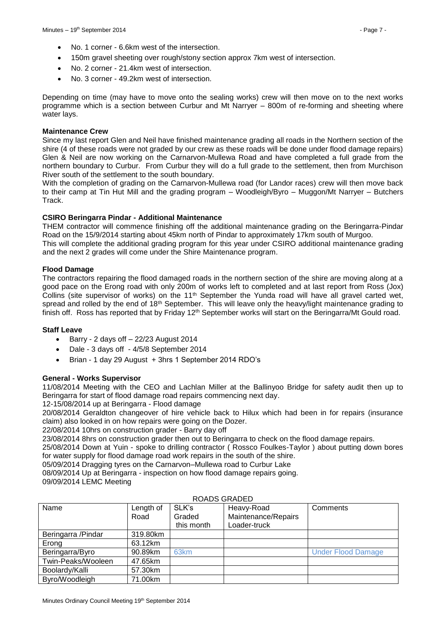- No. 1 corner 6.6km west of the intersection.
- 150m gravel sheeting over rough/stony section approx 7km west of intersection.
- No. 2 corner 21.4km west of intersection.
- No. 3 corner 49.2km west of intersection.

Depending on time (may have to move onto the sealing works) crew will then move on to the next works programme which is a section between Curbur and Mt Narryer – 800m of re-forming and sheeting where water lays.

#### **Maintenance Crew**

Since my last report Glen and Neil have finished maintenance grading all roads in the Northern section of the shire (4 of these roads were not graded by our crew as these roads will be done under flood damage repairs) Glen & Neil are now working on the Carnarvon-Mullewa Road and have completed a full grade from the northern boundary to Curbur. From Curbur they will do a full grade to the settlement, then from Murchison River south of the settlement to the south boundary.

With the completion of grading on the Carnarvon-Mullewa road (for Landor races) crew will then move back to their camp at Tin Hut Mill and the grading program – Woodleigh/Byro – Muggon/Mt Narryer – Butchers Track.

#### **CSIRO Beringarra Pindar - Additional Maintenance**

THEM contractor will commence finishing off the additional maintenance grading on the Beringarra-Pindar Road on the 15/9/2014 starting about 45km north of Pindar to approximately 17km south of Murgoo.

This will complete the additional grading program for this year under CSIRO additional maintenance grading and the next 2 grades will come under the Shire Maintenance program.

#### **Flood Damage**

The contractors repairing the flood damaged roads in the northern section of the shire are moving along at a good pace on the Erong road with only 200m of works left to completed and at last report from Ross (Jox) Collins (site supervisor of works) on the  $11<sup>th</sup>$  September the Yunda road will have all gravel carted wet, spread and rolled by the end of 18<sup>th</sup> September. This will leave only the heavy/light maintenance grading to finish off. Ross has reported that by Friday 12<sup>th</sup> September works will start on the Beringarra/Mt Gould road.

#### **Staff Leave**

- $\bullet$  Barry 2 days off  $-22/23$  August 2014
- Dale 3 days off 4/5/8 September 2014
- Brian 1 day 29 August + 3hrs 1 September 2014 RDO's

#### **General - Works Supervisor**

11/08/2014 Meeting with the CEO and Lachlan Miller at the Ballinyoo Bridge for safety audit then up to Beringarra for start of flood damage road repairs commencing next day.

12-15/08/2014 up at Beringarra - Flood damage

20/08/2014 Geraldton changeover of hire vehicle back to Hilux which had been in for repairs (insurance claim) also looked in on how repairs were going on the Dozer.

22/08/2014 10hrs on construction grader - Barry day off

23/08/2014 8hrs on construction grader then out to Beringarra to check on the flood damage repairs.

25/08/2014 Down at Yuin - spoke to drilling contractor ( Rossco Foulkes-Taylor ) about putting down bores for water supply for flood damage road work repairs in the south of the shire.

05/09/2014 Dragging tyres on the Carnarvon–Mullewa road to Curbur Lake

08/09/2014 Up at Beringarra - inspection on how flood damage repairs going. 09/09/2014 LEMC Meeting

| Name                | Length of<br>Road | SLK's<br>Graded  | Heavy-Road<br>Maintenance/Repairs | Comments                  |
|---------------------|-------------------|------------------|-----------------------------------|---------------------------|
|                     |                   | this month       | Loader-truck                      |                           |
| Beringarra / Pindar | 319.80km          |                  |                                   |                           |
| Erong               | 63.12km           |                  |                                   |                           |
| Beringarra/Byro     | 90.89km           | 63 <sub>km</sub> |                                   | <b>Under Flood Damage</b> |
| Twin-Peaks/Wooleen  | 47.65km           |                  |                                   |                           |
| Boolardy/Kalli      | 57.30km           |                  |                                   |                           |
| Byro/Woodleigh      | 71.00km           |                  |                                   |                           |

#### ROADS GRADED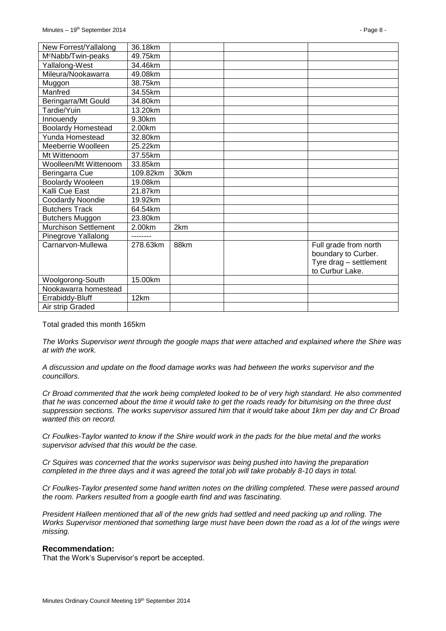| New Forrest/Yallalong          | 36.18km  |      |                                                                                           |
|--------------------------------|----------|------|-------------------------------------------------------------------------------------------|
| M <sup>c</sup> Nabb/Twin-peaks | 49.75km  |      |                                                                                           |
| Yallalong-West                 | 34.46km  |      |                                                                                           |
| Mileura/Nookawarra             | 49.08km  |      |                                                                                           |
| Muggon                         | 38.75km  |      |                                                                                           |
| Manfred                        | 34.55km  |      |                                                                                           |
| Beringarra/Mt Gould            | 34.80km  |      |                                                                                           |
| Tardie/Yuin                    | 13.20km  |      |                                                                                           |
| Innouendy                      | 9.30km   |      |                                                                                           |
| <b>Boolardy Homestead</b>      | 2.00km   |      |                                                                                           |
| Yunda Homestead                | 32.80km  |      |                                                                                           |
| Meeberrie Woolleen             | 25.22km  |      |                                                                                           |
| Mt Wittenoom                   | 37.55km  |      |                                                                                           |
| Woolleen/Mt Wittenoom          | 33.85km  |      |                                                                                           |
| Beringarra Cue                 | 109.82km | 30km |                                                                                           |
| <b>Boolardy Wooleen</b>        | 19.08km  |      |                                                                                           |
| Kalli Cue East                 | 21.87km  |      |                                                                                           |
| Coodardy Noondie               | 19.92km  |      |                                                                                           |
| <b>Butchers Track</b>          | 64.54km  |      |                                                                                           |
| <b>Butchers Muggon</b>         | 23.80km  |      |                                                                                           |
| <b>Murchison Settlement</b>    | 2.00km   | 2km  |                                                                                           |
| Pinegrove Yallalong            |          |      |                                                                                           |
| Carnarvon-Mullewa              | 278.63km | 88km | Full grade from north<br>boundary to Curber.<br>Tyre drag - settlement<br>to Curbur Lake. |
| Woolgorong-South               | 15.00km  |      |                                                                                           |
| Nookawarra homestead           |          |      |                                                                                           |
| Errabiddy-Bluff                | 12km     |      |                                                                                           |
| Air strip Graded               |          |      |                                                                                           |

Total graded this month 165km

*The Works Supervisor went through the google maps that were attached and explained where the Shire was at with the work.*

*A discussion and update on the flood damage works was had between the works supervisor and the councillors.*

*Cr Broad commented that the work being completed looked to be of very high standard. He also commented that he was concerned about the time it would take to get the roads ready for bitumising on the three dust suppression sections. The works supervisor assured him that it would take about 1km per day and Cr Broad wanted this on record.*

*Cr Foulkes-Taylor wanted to know if the Shire would work in the pads for the blue metal and the works supervisor advised that this would be the case.*

*Cr Squires was concerned that the works supervisor was being pushed into having the preparation completed in the three days and it was agreed the total job will take probably 8-10 days in total.*

*Cr Foulkes-Taylor presented some hand written notes on the drilling completed. These were passed around the room. Parkers resulted from a google earth find and was fascinating.* 

*President Halleen mentioned that all of the new grids had settled and need packing up and rolling. The Works Supervisor mentioned that something large must have been down the road as a lot of the wings were missing.*

#### **Recommendation:**

That the Work's Supervisor's report be accepted.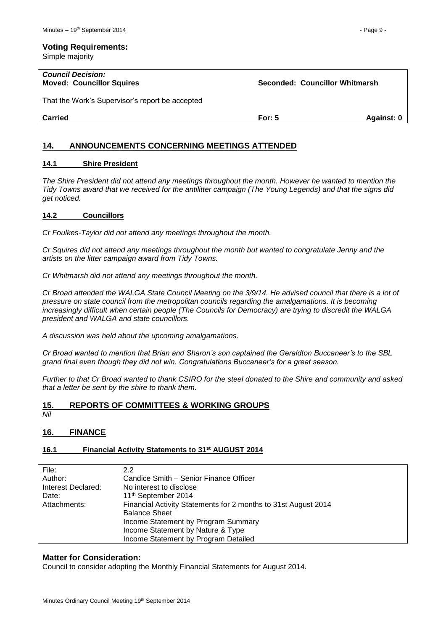#### **Voting Requirements:**

Simple majority

| <b>Carried</b>                                               | For: $5$ | Against: 0                     |
|--------------------------------------------------------------|----------|--------------------------------|
| That the Work's Supervisor's report be accepted              |          |                                |
| <b>Council Decision:</b><br><b>Moved: Councillor Squires</b> |          | Seconded: Councillor Whitmarsh |

#### <span id="page-8-0"></span>**14. ANNOUNCEMENTS CONCERNING MEETINGS ATTENDED**

#### <span id="page-8-1"></span>**14.1 Shire President**

*The Shire President did not attend any meetings throughout the month. However he wanted to mention the Tidy Towns award that we received for the antilitter campaign (The Young Legends) and that the signs did get noticed.*

#### <span id="page-8-2"></span>**14.2 Councillors**

*Cr Foulkes-Taylor did not attend any meetings throughout the month.*

*Cr Squires did not attend any meetings throughout the month but wanted to congratulate Jenny and the artists on the litter campaign award from Tidy Towns.*

*Cr Whitmarsh did not attend any meetings throughout the month.*

*Cr Broad attended the WALGA State Council Meeting on the 3/9/14. He advised council that there is a lot of pressure on state council from the metropolitan councils regarding the amalgamations. It is becoming increasingly difficult when certain people (The Councils for Democracy) are trying to discredit the WALGA president and WALGA and state councillors.* 

*A discussion was held about the upcoming amalgamations.*

*Cr Broad wanted to mention that Brian and Sharon's son captained the Geraldton Buccaneer's to the SBL grand final even though they did not win. Congratulations Buccaneer's for a great season.*

*Further to that Cr Broad wanted to thank CSIRO for the steel donated to the Shire and community and asked that a letter be sent by the shire to thank them.*

#### <span id="page-8-3"></span>**15. REPORTS OF COMMITTEES & WORKING GROUPS**

*Nil*

# <span id="page-8-4"></span>**16. FINANCE**

# <span id="page-8-5"></span>**16.1 Financial Activity Statements to 31st AUGUST 2014**

| $2.2\,$                                                        |
|----------------------------------------------------------------|
| Candice Smith – Senior Finance Officer                         |
| No interest to disclose                                        |
| 11 <sup>th</sup> September 2014                                |
| Financial Activity Statements for 2 months to 31st August 2014 |
| <b>Balance Sheet</b>                                           |
| Income Statement by Program Summary                            |
| Income Statement by Nature & Type                              |
| Income Statement by Program Detailed                           |
|                                                                |

# **Matter for Consideration:**

Council to consider adopting the Monthly Financial Statements for August 2014.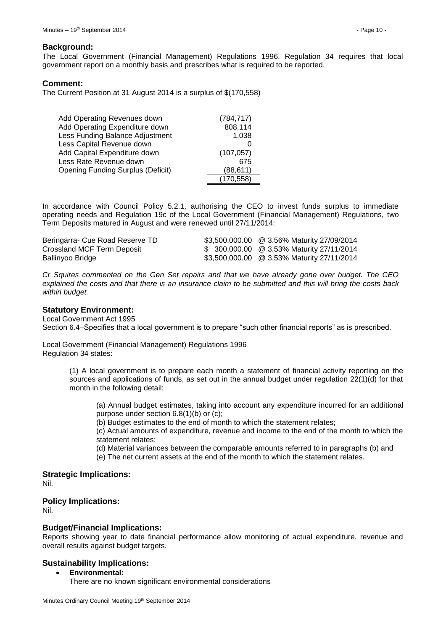#### **Background:**

The Local Government (Financial Management) Regulations 1996. Regulation 34 requires that local government report on a monthly basis and prescribes what is required to be reported.

#### **Comment:**

The Current Position at 31 August 2014 is a surplus of \$(170,558)

| Add Operating Revenues down              | (784, 717) |
|------------------------------------------|------------|
| Add Operating Expenditure down           | 808,114    |
| Less Funding Balance Adjustment          | 1,038      |
| Less Capital Revenue down                |            |
| Add Capital Expenditure down             | (107, 057) |
| Less Rate Revenue down                   | 675        |
| <b>Opening Funding Surplus (Deficit)</b> | (88, 611)  |
|                                          | (170, 558) |

In accordance with Council Policy 5.2.1, authorising the CEO to invest funds surplus to immediate operating needs and Regulation 19c of the Local Government (Financial Management) Regulations, two Term Deposits matured in August and were renewed until 27/11/2014:

| Beringarra- Cue Road Reserve TD | \$3,500,000.00 @ 3.56% Maturity 27/09/2014 |
|---------------------------------|--------------------------------------------|
| Crossland MCF Term Deposit      | \$ 300,000.00 @ 3.53% Maturity 27/11/2014  |
| Ballinyoo Bridge                | \$3,500,000.00 @ 3.53% Maturity 27/11/2014 |

*Cr Squires commented on the Gen Set repairs and that we have already gone over budget. The CEO explained the costs and that there is an insurance claim to be submitted and this will bring the costs back within budget.*

#### **Statutory Environment:**

Local Government Act 1995

Section 6.4–Specifies that a local government is to prepare "such other financial reports" as is prescribed.

Local Government (Financial Management) Regulations 1996 Regulation 34 states:

> (1) A local government is to prepare each month a statement of financial activity reporting on the sources and applications of funds, as set out in the annual budget under regulation 22(1)(d) for that month in the following detail:

(a) Annual budget estimates, taking into account any expenditure incurred for an additional purpose under section 6.8(1)(b) or (c);

(b) Budget estimates to the end of month to which the statement relates;

(c) Actual amounts of expenditure, revenue and income to the end of the month to which the statement relates;

(d) Material variances between the comparable amounts referred to in paragraphs (b) and

(e) The net current assets at the end of the month to which the statement relates.

#### **Strategic Implications:**

Nil.

#### **Policy Implications:**

Nil.

#### **Budget/Financial Implications:**

Reports showing year to date financial performance allow monitoring of actual expenditure, revenue and overall results against budget targets.

#### **Sustainability Implications:**

- **Environmental:**
	- There are no known significant environmental considerations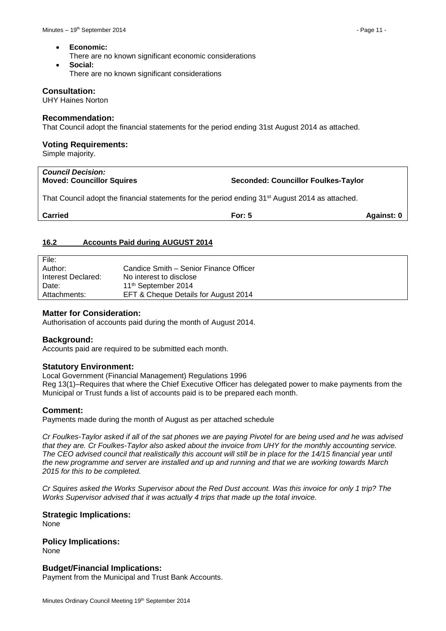- **Economic:** There are no known significant economic considerations
	- **Social:** There are no known significant considerations

#### **Consultation:**

UHY Haines Norton

#### **Recommendation:**

That Council adopt the financial statements for the period ending 31st August 2014 as attached.

# **Voting Requirements:**

Simple majority.

# *Council Decision:*

**Moved: Councillor Squires Seconded: Councillor Foulkes-Taylor**

That Council adopt the financial statements for the period ending 31<sup>st</sup> August 2014 as attached.

**Carried For: 5 Against: 0**

## <span id="page-10-0"></span>**16.2 Accounts Paid during AUGUST 2014**

| File:              |                                        |
|--------------------|----------------------------------------|
| Author:            | Candice Smith – Senior Finance Officer |
| Interest Declared: | No interest to disclose                |
| Date:              | 11 <sup>th</sup> September 2014        |
| Attachments:       | EFT & Cheque Details for August 2014   |

#### **Matter for Consideration:**

Authorisation of accounts paid during the month of August 2014.

## **Background:**

Accounts paid are required to be submitted each month.

#### **Statutory Environment:**

Local Government (Financial Management) Regulations 1996

Reg 13(1)–Requires that where the Chief Executive Officer has delegated power to make payments from the Municipal or Trust funds a list of accounts paid is to be prepared each month.

#### **Comment:**

Payments made during the month of August as per attached schedule

*Cr Foulkes-Taylor asked if all of the sat phones we are paying Pivotel for are being used and he was advised that they are. Cr Foulkes-Taylor also asked about the invoice from UHY for the monthly accounting service.*  The CEO advised council that realistically this account will still be in place for the 14/15 financial year until *the new programme and server are installed and up and running and that we are working towards March 2015 for this to be completed.*

*Cr Squires asked the Works Supervisor about the Red Dust account. Was this invoice for only 1 trip? The Works Supervisor advised that it was actually 4 trips that made up the total invoice.*

**Strategic Implications:** None

**Policy Implications:** None

**Budget/Financial Implications:**

Payment from the Municipal and Trust Bank Accounts.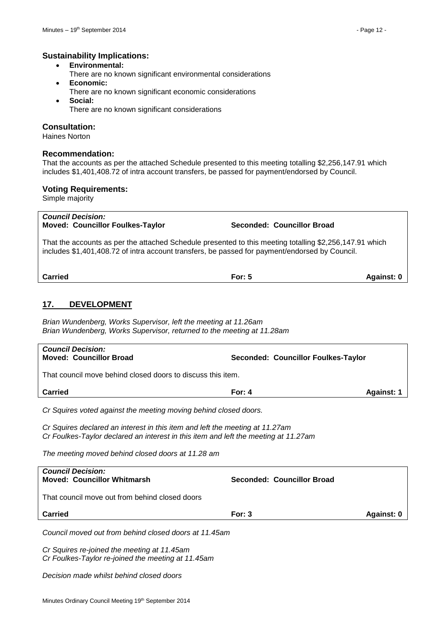#### **Sustainability Implications:**

- **Environmental:**
- There are no known significant environmental considerations
- **Economic:**
- There are no known significant economic considerations
- **Social:**
	- There are no known significant considerations

#### **Consultation:**

Haines Norton

#### **Recommendation:**

That the accounts as per the attached Schedule presented to this meeting totalling \$2,256,147.91 which includes \$1,401,408.72 of intra account transfers, be passed for payment/endorsed by Council.

#### **Voting Requirements:**

Simple majority

*Council Decision:*

**Moved: Councillor Foulkes-Taylor Seconded: Councillor Broad**

That the accounts as per the attached Schedule presented to this meeting totalling \$2,256,147.91 which includes \$1,401,408.72 of intra account transfers, be passed for payment/endorsed by Council.

| <b>Carried</b> | <b>For: 5</b> | Against: 0 |
|----------------|---------------|------------|
|----------------|---------------|------------|

#### <span id="page-11-0"></span>**17. DEVELOPMENT**

*Brian Wundenberg, Works Supervisor, left the meeting at 11.26am Brian Wundenberg, Works Supervisor, returned to the meeting at 11.28am*

| <b>Council Decision:</b><br><b>Moved: Councillor Broad</b>                                                                                                          | Seconded: Councillor Foulkes-Taylor |                   |
|---------------------------------------------------------------------------------------------------------------------------------------------------------------------|-------------------------------------|-------------------|
| That council move behind closed doors to discuss this item.                                                                                                         |                                     |                   |
| <b>Carried</b>                                                                                                                                                      | For: $4$                            | <b>Against: 1</b> |
| Cr Squires voted against the meeting moving behind closed doors.                                                                                                    |                                     |                   |
| Cr Squires declared an interest in this item and left the meeting at 11.27am<br>Cr Foulkes-Taylor declared an interest in this item and left the meeting at 11.27am |                                     |                   |
| The meeting moved behind closed doors at 11.28 am                                                                                                                   |                                     |                   |
| <b>Council Decision:</b><br><b>Moved: Councillor Whitmarsh</b>                                                                                                      | Seconded: Councillor Broad          |                   |
| That council move out from behind closed doors                                                                                                                      |                                     |                   |
| <b>Carried</b>                                                                                                                                                      | For: $3$                            | Against: 0        |
| Council moved out from behind closed doors at 11.45am                                                                                                               |                                     |                   |

*Cr Squires re-joined the meeting at 11.45am Cr Foulkes-Taylor re-joined the meeting at 11.45am*

*Decision made whilst behind closed doors*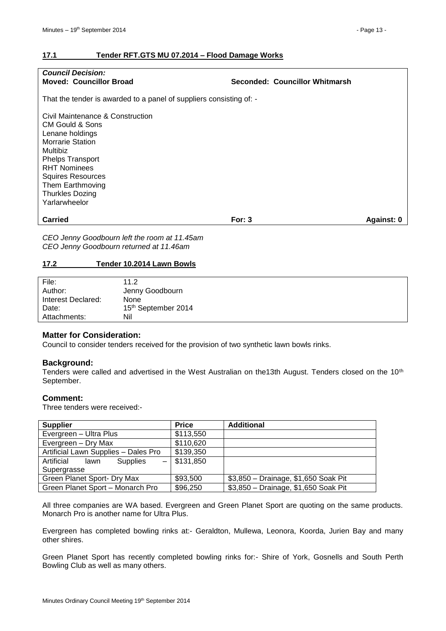#### <span id="page-12-0"></span>**17.1 Tender RFT.GTS MU 07.2014 – Flood Damage Works**

| <b>Council Decision:</b><br><b>Moved: Councillor Broad</b>                                                                                                                                                                                                                   | Seconded: Councillor Whitmarsh |            |
|------------------------------------------------------------------------------------------------------------------------------------------------------------------------------------------------------------------------------------------------------------------------------|--------------------------------|------------|
| That the tender is awarded to a panel of suppliers consisting of: -                                                                                                                                                                                                          |                                |            |
| Civil Maintenance & Construction<br><b>CM Gould &amp; Sons</b><br>Lenane holdings<br><b>Morrarie Station</b><br><b>Multibiz</b><br><b>Phelps Transport</b><br><b>RHT Nominees</b><br><b>Squires Resources</b><br>Them Earthmoving<br><b>Thurkles Dozing</b><br>Yarlarwheelor |                                |            |
| <b>Carried</b>                                                                                                                                                                                                                                                               | For: $3$                       | Against: 0 |
|                                                                                                                                                                                                                                                                              |                                |            |

*CEO Jenny Goodbourn left the room at 11.45am CEO Jenny Goodbourn returned at 11.46am*

#### <span id="page-12-1"></span>**17.2 Tender 10.2014 Lawn Bowls**

| File:<br>Author:   | 11.2<br>Jenny Goodbourn |
|--------------------|-------------------------|
| Interest Declared: | None                    |
| Date:              | 15th September 2014     |
| Attachments:       | Nil                     |

#### **Matter for Consideration:**

Council to consider tenders received for the provision of two synthetic lawn bowls rinks.

#### **Background:**

Tenders were called and advertised in the West Australian on the13th August. Tenders closed on the 10<sup>th</sup> September.

#### **Comment:**

Three tenders were received:-

| <b>Supplier</b>                       | <b>Price</b>  | <b>Additional</b>                    |
|---------------------------------------|---------------|--------------------------------------|
| Evergreen - Ultra Plus                | \$113,550     |                                      |
| Evergreen - Dry Max                   | \$110,620     |                                      |
| Artificial Lawn Supplies - Dales Pro  | \$139,350     |                                      |
| <b>Supplies</b><br>Artificial<br>lawn | $-$ \$131,850 |                                      |
| Supergrasse                           |               |                                      |
| Green Planet Sport- Dry Max           | \$93,500      | \$3,850 - Drainage, \$1,650 Soak Pit |
| Green Planet Sport - Monarch Pro      | \$96,250      | \$3,850 - Drainage, \$1,650 Soak Pit |

All three companies are WA based. Evergreen and Green Planet Sport are quoting on the same products. Monarch Pro is another name for Ultra Plus.

Evergreen has completed bowling rinks at:- Geraldton, Mullewa, Leonora, Koorda, Jurien Bay and many other shires.

Green Planet Sport has recently completed bowling rinks for:- Shire of York, Gosnells and South Perth Bowling Club as well as many others.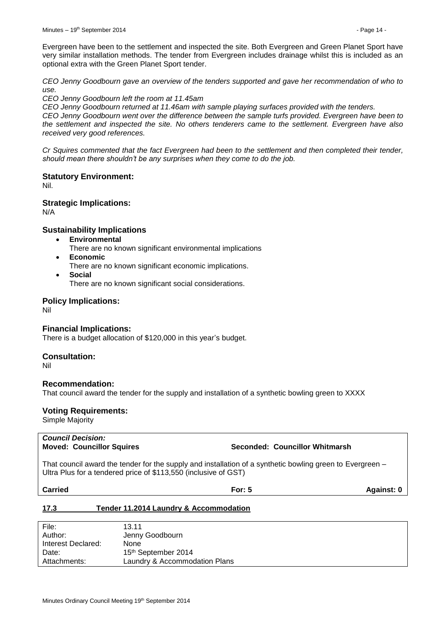Evergreen have been to the settlement and inspected the site. Both Evergreen and Green Planet Sport have very similar installation methods. The tender from Evergreen includes drainage whilst this is included as an optional extra with the Green Planet Sport tender.

*CEO Jenny Goodbourn gave an overview of the tenders supported and gave her recommendation of who to use.*

*CEO Jenny Goodbourn left the room at 11.45am*

*CEO Jenny Goodbourn returned at 11.46am with sample playing surfaces provided with the tenders. CEO Jenny Goodbourn went over the difference between the sample turfs provided. Evergreen have been to the settlement and inspected the site. No others tenderers came to the settlement. Evergreen have also received very good references.*

*Cr Squires commented that the fact Evergreen had been to the settlement and then completed their tender, should mean there shouldn't be any surprises when they come to do the job.*

#### **Statutory Environment:**

Nil.

## **Strategic Implications:**

N/A

#### **Sustainability Implications**

- **Environmental**
- There are no known significant environmental implications
- **Economic**

There are no known significant economic implications.

 **Social** There are no known significant social considerations.

#### **Policy Implications:**

Nil

## **Financial Implications:**

There is a budget allocation of \$120,000 in this year's budget.

#### **Consultation:**

Nil

#### **Recommendation:**

That council award the tender for the supply and installation of a synthetic bowling green to XXXX

#### **Voting Requirements:**

Simple Majority

# *Council Decision:* **Seconded: Councillor Whitmarsh** That council award the tender for the supply and installation of a synthetic bowling green to Evergreen – Ultra Plus for a tendered price of \$113,550 (inclusive of GST) **Carried For: 5 Against: 0 17.3 Tender 11.2014 Laundry & Accommodation** File: 13.11 Author: Jenny Goodbourn

<span id="page-13-0"></span>

| .                  |                               |
|--------------------|-------------------------------|
| Interest Declared: | <b>None</b>                   |
| Date:              | 15th September 2014           |
| Attachments:       | Laundry & Accommodation Plans |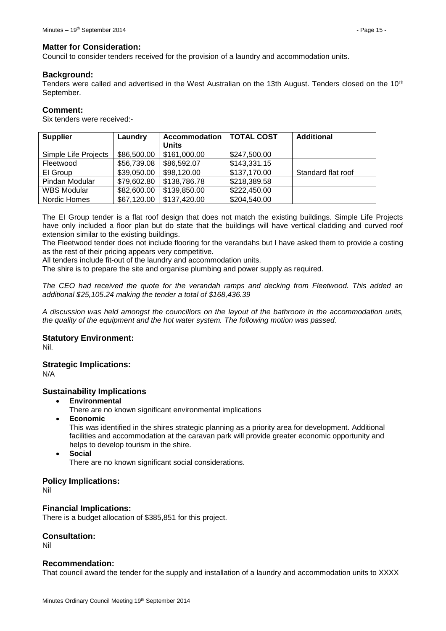#### **Matter for Consideration:**

Council to consider tenders received for the provision of a laundry and accommodation units.

#### **Background:**

Tenders were called and advertised in the West Australian on the 13th August. Tenders closed on the 10<sup>th</sup> September.

#### **Comment:**

Six tenders were received:-

| <b>Supplier</b>      | Laundry     | <b>Accommodation</b> | <b>TOTAL COST</b> | <b>Additional</b>  |
|----------------------|-------------|----------------------|-------------------|--------------------|
|                      |             | <b>Units</b>         |                   |                    |
| Simple Life Projects | \$86,500.00 | \$161,000.00         | \$247,500.00      |                    |
| Fleetwood            | \$56,739.08 | \$86,592.07          | \$143,331.15      |                    |
| El Group             | \$39,050.00 | \$98,120.00          | \$137,170.00      | Standard flat roof |
| Pindan Modular       | \$79,602.80 | \$138,786.78         | \$218,389.58      |                    |
| <b>WBS Modular</b>   | \$82,600.00 | \$139,850.00         | \$222,450.00      |                    |
| Nordic Homes         | \$67,120.00 | \$137,420.00         | \$204,540.00      |                    |

The EI Group tender is a flat roof design that does not match the existing buildings. Simple Life Projects have only included a floor plan but do state that the buildings will have vertical cladding and curved roof extension similar to the existing buildings.

The Fleetwood tender does not include flooring for the verandahs but I have asked them to provide a costing as the rest of their pricing appears very competitive.

All tenders include fit-out of the laundry and accommodation units.

The shire is to prepare the site and organise plumbing and power supply as required.

*The CEO had received the quote for the verandah ramps and decking from Fleetwood. This added an additional \$25,105.24 making the tender a total of \$168,436.39*

*A discussion was held amongst the councillors on the layout of the bathroom in the accommodation units, the quality of the equipment and the hot water system. The following motion was passed.*

#### **Statutory Environment:**

Nil.

#### **Strategic Implications:**

N/A

#### **Sustainability Implications**

**Environmental**

There are no known significant environmental implications

**Economic**

This was identified in the shires strategic planning as a priority area for development. Additional facilities and accommodation at the caravan park will provide greater economic opportunity and helps to develop tourism in the shire.

**Social**

There are no known significant social considerations.

#### **Policy Implications:**

Nil

#### **Financial Implications:**

There is a budget allocation of \$385,851 for this project.

#### **Consultation:**

Nil

#### **Recommendation:**

That council award the tender for the supply and installation of a laundry and accommodation units to XXXX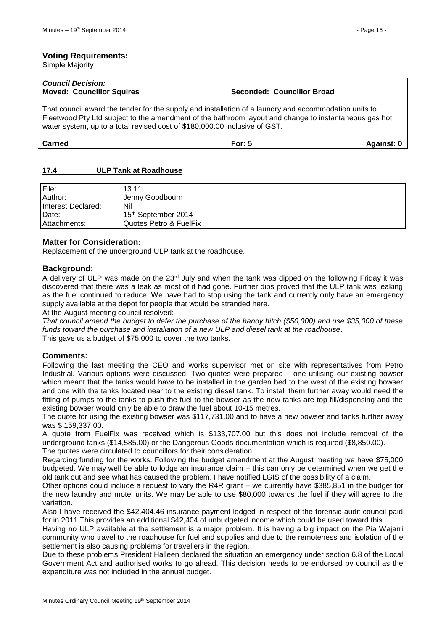Simple Majority

# *Council Decision:* **Moved: Councillor Squires Seconded: Councillor Broad** That council award the tender for the supply and installation of a laundry and accommodation units to Fleetwood Pty Ltd subject to the amendment of the bathroom layout and change to instantaneous gas hot water system, up to a total revised cost of \$180,000.00 inclusive of GST. **Carried For: 5 Against: 0**

<span id="page-15-0"></span>

| 17.4 | <b>ULP Tank at Roadhouse</b> |
|------|------------------------------|
|      |                              |

| File:              | 13.11                           |
|--------------------|---------------------------------|
| Author:            | Jenny Goodbourn                 |
| Interest Declared: | Nil                             |
| Date:              | 15 <sup>th</sup> September 2014 |
| l Attachments:     | Quotes Petro & FuelFix          |

#### **Matter for Consideration:**

Replacement of the underground ULP tank at the roadhouse.

#### **Background:**

A delivery of ULP was made on the 23rd July and when the tank was dipped on the following Friday it was discovered that there was a leak as most of it had gone. Further dips proved that the ULP tank was leaking as the fuel continued to reduce. We have had to stop using the tank and currently only have an emergency supply available at the depot for people that would be stranded here.

At the August meeting council resolved:

*That council amend the budget to defer the purchase of the handy hitch (\$50,000) and use \$35,000 of these funds toward the purchase and installation of a new ULP and diesel tank at the roadhouse*. This gave us a budget of \$75,000 to cover the two tanks.

#### **Comments:**

Following the last meeting the CEO and works supervisor met on site with representatives from Petro Industrial. Various options were discussed. Two quotes were prepared – one utilising our existing bowser which meant that the tanks would have to be installed in the garden bed to the west of the existing bowser and one with the tanks located near to the existing diesel tank. To install them further away would need the fitting of pumps to the tanks to push the fuel to the bowser as the new tanks are top fill/dispensing and the existing bowser would only be able to draw the fuel about 10-15 metres.

The quote for using the existing bowser was \$117,731.00 and to have a new bowser and tanks further away was \$ 159,337.00.

A quote from FuelFix was received which is \$133,707.00 but this does not include removal of the underground tanks (\$14,585.00) or the Dangerous Goods documentation which is required (\$8,850.00). The quotes were circulated to councillors for their consideration.

Regarding funding for the works. Following the budget amendment at the August meeting we have \$75,000 budgeted. We may well be able to lodge an insurance claim – this can only be determined when we get the old tank out and see what has caused the problem. I have notified LGIS of the possibility of a claim.

Other options could include a request to vary the R4R grant – we currently have \$385,851 in the budget for the new laundry and motel units. We may be able to use \$80,000 towards the fuel if they will agree to the variation.

Also I have received the \$42,404.46 insurance payment lodged in respect of the forensic audit council paid for in 2011.This provides an additional \$42,404 of unbudgeted income which could be used toward this.

Having no ULP available at the settlement is a major problem. It is having a big impact on the Pia Wajarri community who travel to the roadhouse for fuel and supplies and due to the remoteness and isolation of the settlement is also causing problems for travellers in the region.

Due to these problems President Halleen declared the situation an emergency under section 6.8 of the Local Government Act and authorised works to go ahead. This decision needs to be endorsed by council as the expenditure was not included in the annual budget.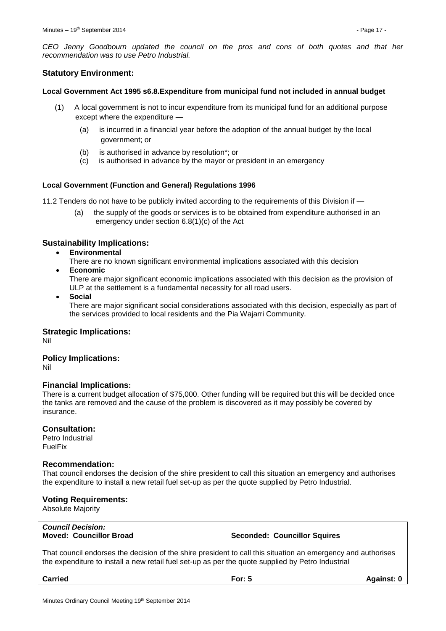*CEO Jenny Goodbourn updated the council on the pros and cons of both quotes and that her recommendation was to use Petro Industrial.*

#### **Statutory Environment:**

#### **Local Government Act 1995 s6.8.Expenditure from municipal fund not included in annual budget**

- (1) A local government is not to incur expenditure from its municipal fund for an additional purpose except where the expenditure —
	- (a) is incurred in a financial year before the adoption of the annual budget by the local government; or
	- (b) is authorised in advance by resolution\*; or
	- (c) is authorised in advance by the mayor or president in an emergency

#### **Local Government (Function and General) Regulations 1996**

11.2 Tenders do not have to be publicly invited according to the requirements of this Division if —

(a) the supply of the goods or services is to be obtained from expenditure authorised in an emergency under section 6.8(1)(c) of the Act

#### **Sustainability Implications:**

**Environmental**

There are no known significant environmental implications associated with this decision

**Economic**

There are major significant economic implications associated with this decision as the provision of ULP at the settlement is a fundamental necessity for all road users.

**Social**

There are major significant social considerations associated with this decision, especially as part of the services provided to local residents and the Pia Wajarri Community.

#### **Strategic Implications:**

Nil

#### **Policy Implications:**

Nil

#### **Financial Implications:**

There is a current budget allocation of \$75,000. Other funding will be required but this will be decided once the tanks are removed and the cause of the problem is discovered as it may possibly be covered by insurance.

#### **Consultation:**

Petro Industrial FuelFix

#### **Recommendation:**

That council endorses the decision of the shire president to call this situation an emergency and authorises the expenditure to install a new retail fuel set-up as per the quote supplied by Petro Industrial.

#### **Voting Requirements:**

Absolute Majority

*Council Decision:*

**Moved: Councillor Broad Seconded: Councillor Squires**

That council endorses the decision of the shire president to call this situation an emergency and authorises the expenditure to install a new retail fuel set-up as per the quote supplied by Petro Industrial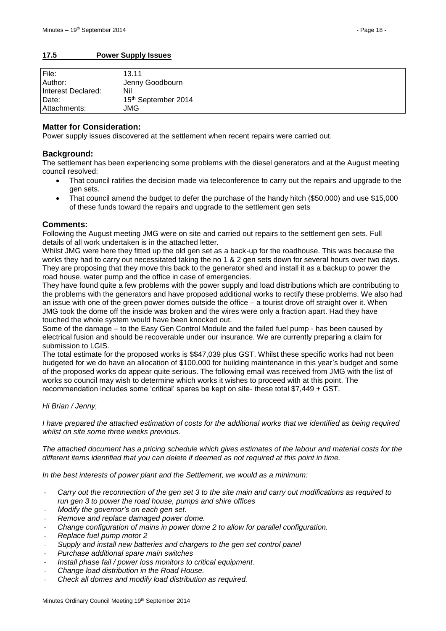#### <span id="page-17-0"></span>**17.5 Power Supply Issues**

| File:              | 13.11               |
|--------------------|---------------------|
| Author:            | Jenny Goodbourn     |
| Interest Declared: | Nil                 |
| Date:              | 15th September 2014 |
| l Attachments:     | JMG                 |

#### **Matter for Consideration:**

Power supply issues discovered at the settlement when recent repairs were carried out.

#### **Background:**

The settlement has been experiencing some problems with the diesel generators and at the August meeting council resolved:

- That council ratifies the decision made via teleconference to carry out the repairs and upgrade to the gen sets.
- That council amend the budget to defer the purchase of the handy hitch (\$50,000) and use \$15,000 of these funds toward the repairs and upgrade to the settlement gen sets

#### **Comments:**

Following the August meeting JMG were on site and carried out repairs to the settlement gen sets. Full details of all work undertaken is in the attached letter.

Whilst JMG were here they fitted up the old gen set as a back-up for the roadhouse. This was because the works they had to carry out necessitated taking the no 1 & 2 gen sets down for several hours over two days. They are proposing that they move this back to the generator shed and install it as a backup to power the road house, water pump and the office in case of emergencies.

They have found quite a few problems with the power supply and load distributions which are contributing to the problems with the generators and have proposed additional works to rectify these problems. We also had an issue with one of the green power domes outside the office – a tourist drove off straight over it. When JMG took the dome off the inside was broken and the wires were only a fraction apart. Had they have touched the whole system would have been knocked out.

Some of the damage – to the Easy Gen Control Module and the failed fuel pump - has been caused by electrical fusion and should be recoverable under our insurance. We are currently preparing a claim for submission to LGIS.

The total estimate for the proposed works is \$\$47,039 plus GST. Whilst these specific works had not been budgeted for we do have an allocation of \$100,000 for building maintenance in this year's budget and some of the proposed works do appear quite serious. The following email was received from JMG with the list of works so council may wish to determine which works it wishes to proceed with at this point. The recommendation includes some 'critical' spares be kept on site- these total \$7,449 + GST.

#### *Hi Brian / Jenny,*

*I have prepared the attached estimation of costs for the additional works that we identified as being required whilst on site some three weeks previous.*

*The attached document has a pricing schedule which gives estimates of the labour and material costs for the different items identified that you can delete if deemed as not required at this point in time.*

*In the best interests of power plant and the Settlement, we would as a minimum:*

- *Carry out the reconnection of the gen set 3 to the site main and carry out modifications as required to run gen 3 to power the road house, pumps and shire offices*
- *Modify the governor's on each gen set.*
- *Remove and replace damaged power dome.*
- *Change configuration of mains in power dome 2 to allow for parallel configuration.*
- *Replace fuel pump motor 2*
- *Supply and install new batteries and chargers to the gen set control panel*
- *Purchase additional spare main switches*
- *Install phase fail / power loss monitors to critical equipment.*
- *Change load distribution in the Road House.*
- *Check all domes and modify load distribution as required.*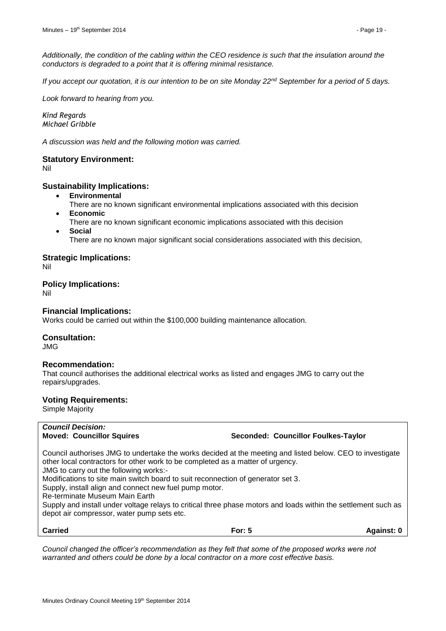*Additionally, the condition of the cabling within the CEO residence is such that the insulation around the conductors is degraded to a point that it is offering minimal resistance.*

*If you accept our quotation, it is our intention to be on site Monday 22nd September for a period of 5 days.*

*Look forward to hearing from you.*

*Kind Regards Michael Gribble*

*A discussion was held and the following motion was carried.*

#### **Statutory Environment:**

Nil

#### **Sustainability Implications:**

- **Environmental**
	- There are no known significant environmental implications associated with this decision
- **Economic**
- There are no known significant economic implications associated with this decision
- **Social**
	- There are no known major significant social considerations associated with this decision,

#### **Strategic Implications:**

Nil

#### **Policy Implications:**

Nil

#### **Financial Implications:**

Works could be carried out within the \$100,000 building maintenance allocation.

#### **Consultation:**

JMG

#### **Recommendation:**

That council authorises the additional electrical works as listed and engages JMG to carry out the repairs/upgrades.

#### **Voting Requirements:**

Simple Majority

# *Council Decision:*

#### **Moved: Councillor Squires Seconded: Councillor Foulkes-Taylor**

Council authorises JMG to undertake the works decided at the meeting and listed below. CEO to investigate other local contractors for other work to be completed as a matter of urgency. JMG to carry out the following works:- Modifications to site main switch board to suit reconnection of generator set 3. Supply, install align and connect new fuel pump motor. Re-terminate Museum Main Earth Supply and install under voltage relays to critical three phase motors and loads within the settlement such as depot air compressor, water pump sets etc.

**Carried For: 5 Against: 0**

*Council changed the officer's recommendation as they felt that some of the proposed works were not warranted and others could be done by a local contractor on a more cost effective basis.*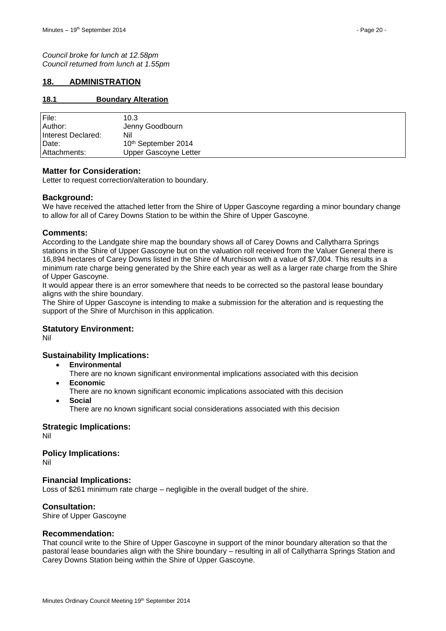*Council broke for lunch at 12.58pm Council returned from lunch at 1.55pm*

# <span id="page-19-0"></span>**18. ADMINISTRATION**

#### <span id="page-19-1"></span>**18.1 Boundary Alteration**

| File:              | 10.3                            |
|--------------------|---------------------------------|
| Author:            | Jenny Goodbourn                 |
| Interest Declared: | Nil                             |
| Date:              | 10 <sup>th</sup> September 2014 |
| Attachments:       | Upper Gascoyne Letter           |

#### **Matter for Consideration:**

Letter to request correction/alteration to boundary.

#### **Background:**

We have received the attached letter from the Shire of Upper Gascoyne regarding a minor boundary change to allow for all of Carey Downs Station to be within the Shire of Upper Gascoyne.

#### **Comments:**

According to the Landgate shire map the boundary shows all of Carey Downs and Callytharra Springs stations in the Shire of Upper Gascoyne but on the valuation roll received from the Valuer General there is 16,894 hectares of Carey Downs listed in the Shire of Murchison with a value of \$7,004. This results in a minimum rate charge being generated by the Shire each year as well as a larger rate charge from the Shire of Upper Gascoyne.

It would appear there is an error somewhere that needs to be corrected so the pastoral lease boundary aligns with the shire boundary.

The Shire of Upper Gascoyne is intending to make a submission for the alteration and is requesting the support of the Shire of Murchison in this application.

#### **Statutory Environment:**

Nil

#### **Sustainability Implications:**

- **Environmental**
	- There are no known significant environmental implications associated with this decision
- **Economic**
- There are no known significant economic implications associated with this decision
- **Social**

There are no known significant social considerations associated with this decision

# **Strategic Implications:**

Nil

## **Policy Implications:**

Nil

#### **Financial Implications:**

Loss of \$261 minimum rate charge – negligible in the overall budget of the shire.

#### **Consultation:**

Shire of Upper Gascoyne

#### **Recommendation:**

That council write to the Shire of Upper Gascoyne in support of the minor boundary alteration so that the pastoral lease boundaries align with the Shire boundary – resulting in all of Callytharra Springs Station and Carey Downs Station being within the Shire of Upper Gascoyne.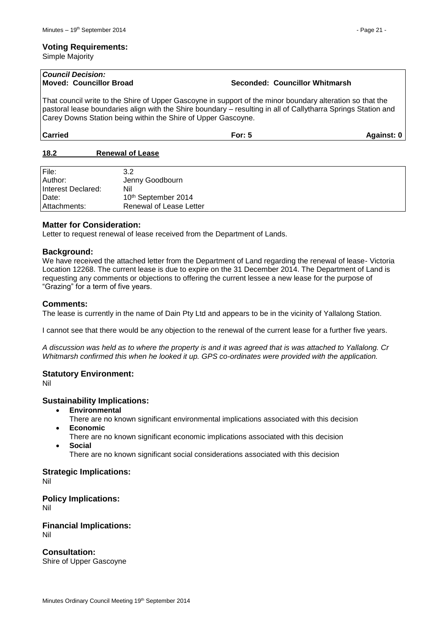#### **Voting Requirements:**

Simple Majority

# *Council Decision:*

#### **Moved: Councillor Broad Seconded: Councillor Whitmarsh**

That council write to the Shire of Upper Gascoyne in support of the minor boundary alteration so that the pastoral lease boundaries align with the Shire boundary – resulting in all of Callytharra Springs Station and Carey Downs Station being within the Shire of Upper Gascoyne.

**Carried For: 5 Against: 0**

#### <span id="page-20-0"></span>**18.2 Renewal of Lease**

| File:<br>Author:   | 3.2<br>Jenny Goodbourn  |
|--------------------|-------------------------|
| Interest Declared: | Nil                     |
| Date:              | 10th September 2014     |
| Attachments:       | Renewal of Lease Letter |

#### **Matter for Consideration:**

Letter to request renewal of lease received from the Department of Lands.

#### **Background:**

We have received the attached letter from the Department of Land regarding the renewal of lease- Victoria Location 12268. The current lease is due to expire on the 31 December 2014. The Department of Land is requesting any comments or objections to offering the current lessee a new lease for the purpose of "Grazing" for a term of five years.

#### **Comments:**

The lease is currently in the name of Dain Pty Ltd and appears to be in the vicinity of Yallalong Station.

I cannot see that there would be any objection to the renewal of the current lease for a further five years.

*A discussion was held as to where the property is and it was agreed that is was attached to Yallalong. Cr Whitmarsh confirmed this when he looked it up. GPS co-ordinates were provided with the application.*

## **Statutory Environment:**

Nil

## **Sustainability Implications:**

- **Environmental**
- There are no known significant environmental implications associated with this decision
- **Economic**
	- There are no known significant economic implications associated with this decision **Social**
		- There are no known significant social considerations associated with this decision

## **Strategic Implications:**

Nil

**Policy Implications:**

Nil

**Financial Implications:** Nil

**Consultation:** Shire of Upper Gascoyne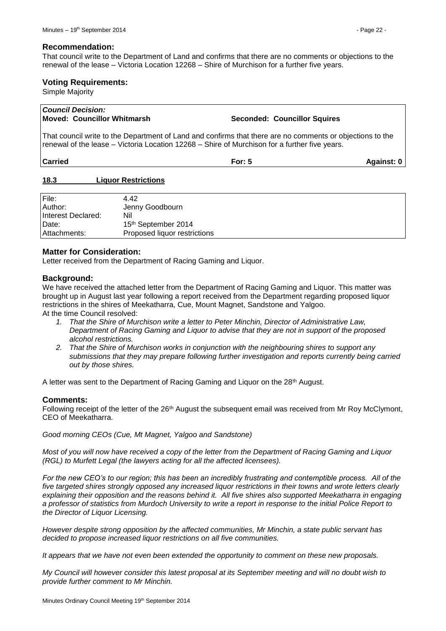That council write to the Department of Land and confirms that there are no comments or objections to the renewal of the lease – Victoria Location 12268 – Shire of Murchison for a further five years.

#### **Voting Requirements:**

Simple Majority

# *Council Decision:*

**Moved: Councillor Whitmarsh Seconded: Councillor Squires**

That council write to the Department of Land and confirms that there are no comments or objections to the renewal of the lease – Victoria Location 12268 – Shire of Murchison for a further five years.

| <b>Carried</b> | For: $5$ | Against: 0 |
|----------------|----------|------------|

#### <span id="page-21-0"></span>**18.3 Liquor Restrictions**

| File:                | 4.42                         |
|----------------------|------------------------------|
| Author:              | Jenny Goodbourn              |
| I Interest Declared: | Nil                          |
| Date:                | 15th September 2014          |
| l Attachments:       | Proposed liquor restrictions |

#### **Matter for Consideration:**

Letter received from the Department of Racing Gaming and Liquor.

#### **Background:**

We have received the attached letter from the Department of Racing Gaming and Liquor. This matter was brought up in August last year following a report received from the Department regarding proposed liquor restrictions in the shires of Meekatharra, Cue, Mount Magnet, Sandstone and Yalgoo. At the time Council resolved:

- *1. That the Shire of Murchison write a letter to Peter Minchin, Director of Administrative Law, Department of Racing Gaming and Liquor to advise that they are not in support of the proposed alcohol restrictions.*
- *2. That the Shire of Murchison works in conjunction with the neighbouring shires to support any submissions that they may prepare following further investigation and reports currently being carried out by those shires.*

A letter was sent to the Department of Racing Gaming and Liquor on the 28<sup>th</sup> August.

#### **Comments:**

Following receipt of the letter of the 26<sup>th</sup> August the subsequent email was received from Mr Roy McClymont, CEO of Meekatharra.

*Good morning CEOs (Cue, Mt Magnet, Yalgoo and Sandstone)*

*Most of you will now have received a copy of the letter from the Department of Racing Gaming and Liquor (RGL) to Murfett Legal (the lawyers acting for all the affected licensees).*

*For the new CEO's to our region; this has been an incredibly frustrating and contemptible process. All of the five targeted shires strongly opposed any increased liquor restrictions in their towns and wrote letters clearly explaining their opposition and the reasons behind it. All five shires also supported Meekatharra in engaging a professor of statistics from Murdoch University to write a report in response to the initial Police Report to the Director of Liquor Licensing.* 

*However despite strong opposition by the affected communities, Mr Minchin, a state public servant has decided to propose increased liquor restrictions on all five communities.*

*It appears that we have not even been extended the opportunity to comment on these new proposals.* 

*My Council will however consider this latest proposal at its September meeting and will no doubt wish to provide further comment to Mr Minchin.*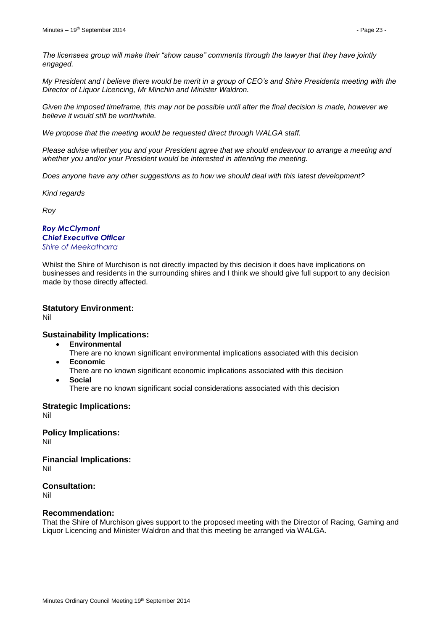*The licensees group will make their "show cause" comments through the lawyer that they have jointly engaged.*

*My President and I believe there would be merit in a group of CEO's and Shire Presidents meeting with the Director of Liquor Licencing, Mr Minchin and Minister Waldron.*

*Given the imposed timeframe, this may not be possible until after the final decision is made, however we believe it would still be worthwhile.* 

*We propose that the meeting would be requested direct through WALGA staff.*

*Please advise whether you and your President agree that we should endeavour to arrange a meeting and whether you and/or your President would be interested in attending the meeting.* 

*Does anyone have any other suggestions as to how we should deal with this latest development?*

*Kind regards*

*Roy*

#### *Roy McClymont Chief Executive Officer Shire of Meekatharra*

Whilst the Shire of Murchison is not directly impacted by this decision it does have implications on businesses and residents in the surrounding shires and I think we should give full support to any decision made by those directly affected.

#### **Statutory Environment:**

Nil

## **Sustainability Implications:**

- **Environmental**
- There are no known significant environmental implications associated with this decision
- **Economic**
	- There are no known significant economic implications associated with this decision
- **Social**
	- There are no known significant social considerations associated with this decision

#### **Strategic Implications:**

Nil

**Policy Implications:** Nil

**Financial Implications:** Nil

**Consultation:** Nil

#### **Recommendation:**

That the Shire of Murchison gives support to the proposed meeting with the Director of Racing, Gaming and Liquor Licencing and Minister Waldron and that this meeting be arranged via WALGA.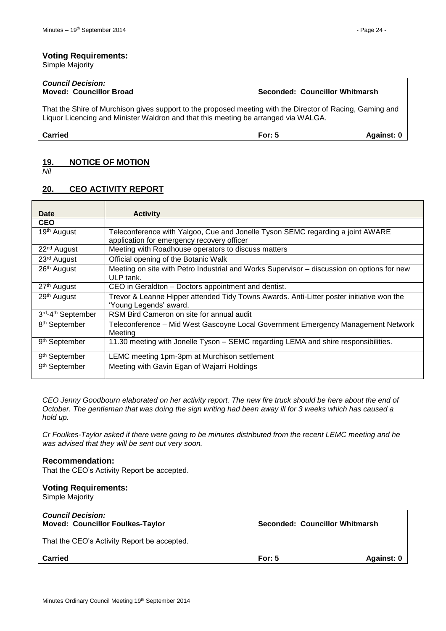#### **Voting Requirements:**

Simple Majority

That the Shire of Murchison gives support to the proposed meeting with the Director of Racing, Gaming and Liquor Licencing and Minister Waldron and that this meeting be arranged via WALGA.

**Carried For: 5 Against: 0**

## <span id="page-23-0"></span>**19. NOTICE OF MOTION**

*Nil*

# <span id="page-23-1"></span>**20. CEO ACTIVITY REPORT**

| Date                      | <b>Activity</b>                                                                            |
|---------------------------|--------------------------------------------------------------------------------------------|
| <b>CEO</b>                |                                                                                            |
| 19 <sup>th</sup> August   | Teleconference with Yalgoo, Cue and Jonelle Tyson SEMC regarding a joint AWARE             |
|                           | application for emergency recovery officer                                                 |
| 22 <sup>nd</sup> August   | Meeting with Roadhouse operators to discuss matters                                        |
| 23 <sup>rd</sup> August   | Official opening of the Botanic Walk                                                       |
| 26 <sup>th</sup> August   | Meeting on site with Petro Industrial and Works Supervisor – discussion on options for new |
|                           | ULP tank.                                                                                  |
| 27 <sup>th</sup> August   | CEO in Geraldton - Doctors appointment and dentist.                                        |
| 29 <sup>th</sup> August   | Trevor & Leanne Hipper attended Tidy Towns Awards. Anti-Litter poster initiative won the   |
|                           | 'Young Legends' award.                                                                     |
| 3rd-4th September         | RSM Bird Cameron on site for annual audit                                                  |
| 8 <sup>th</sup> September | Teleconference – Mid West Gascoyne Local Government Emergency Management Network           |
|                           | Meetina                                                                                    |
| 9 <sup>th</sup> September | 11.30 meeting with Jonelle Tyson - SEMC regarding LEMA and shire responsibilities.         |
| 9 <sup>th</sup> September | LEMC meeting 1pm-3pm at Murchison settlement                                               |
| 9 <sup>th</sup> September | Meeting with Gavin Egan of Wajarri Holdings                                                |

*CEO Jenny Goodbourn elaborated on her activity report. The new fire truck should be here about the end of October. The gentleman that was doing the sign writing had been away ill for 3 weeks which has caused a hold up.*

*Cr Foulkes-Taylor asked if there were going to be minutes distributed from the recent LEMC meeting and he was advised that they will be sent out very soon.*

#### **Recommendation:**

That the CEO's Activity Report be accepted.

## **Voting Requirements:**

Simple Majority

| <b>Council Decision:</b><br><b>Moved: Councillor Foulkes-Taylor</b> |          | Seconded: Councillor Whitmarsh |
|---------------------------------------------------------------------|----------|--------------------------------|
| That the CEO's Activity Report be accepted.                         |          |                                |
| <b>Carried</b>                                                      | For: $5$ | Against: 0                     |